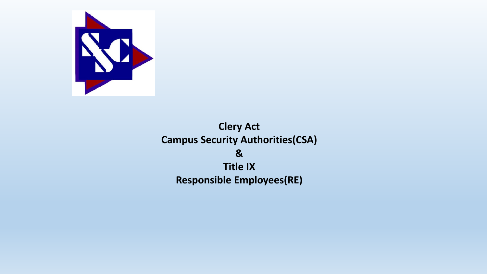

**Clery Act Campus Security Authorities(CSA) & Title IX Responsible Employees(RE)**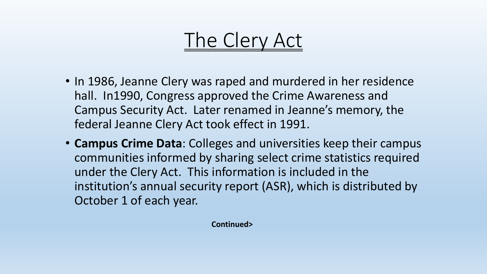#### The Clery Act

- In 1986, Jeanne Clery was raped and murdered in her residence hall. In1990, Congress approved the Crime Awareness and Campus Security Act. Later renamed in Jeanne's memory, the federal Jeanne Clery Act took effect in 1991.
- **Campus Crime Data**: Colleges and universities keep their campus communities informed by sharing select crime statistics required under the Clery Act. This information is included in the institution's annual security report (ASR), which is distributed by October 1 of each year.

**Continued>**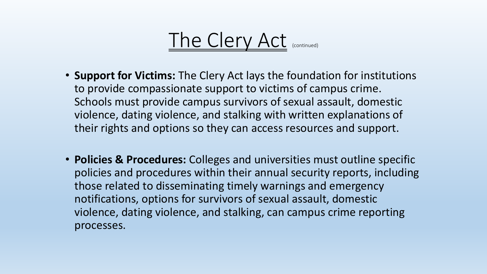

- **Support for Victims:** The Clery Act lays the foundation for institutions to provide compassionate support to victims of campus crime. Schools must provide campus survivors of sexual assault, domestic violence, dating violence, and stalking with written explanations of their rights and options so they can access resources and support.
- **Policies & Procedures:** Colleges and universities must outline specific policies and procedures within their annual security reports, including those related to disseminating timely warnings and emergency notifications, options for survivors of sexual assault, domestic violence, dating violence, and stalking, can campus crime reporting processes.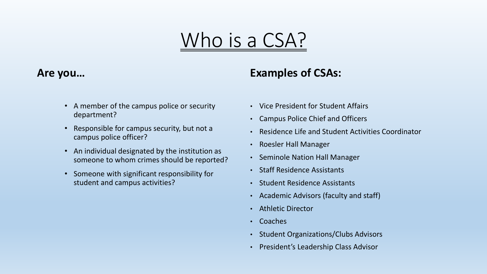## Who is a CSA?

#### **Are you…**

#### **Examples of CSAs:**

- A member of the campus police or security department?
- Responsible for campus security, but not a campus police officer?
- An individual designated by the institution as someone to whom crimes should be reported?
- Someone with significant responsibility for student and campus activities?
- Vice President for Student Affairs
- Campus Police Chief and Officers
- Residence Life and Student Activities Coordinator
- Roesler Hall Manager
- Seminole Nation Hall Manager
- Staff Residence Assistants
- Student Residence Assistants
- Academic Advisors (faculty and staff)
- Athletic Director
- Coaches
- Student Organizations/Clubs Advisors
- President's Leadership Class Advisor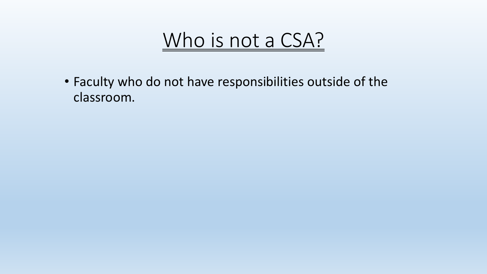

• Faculty who do not have responsibilities outside of the classroom.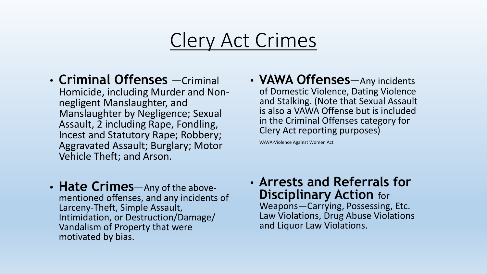#### Clery Act Crimes

- **Criminal Offenses** —Criminal Homicide, including Murder and Nonnegligent Manslaughter, and Manslaughter by Negligence; Sexual Assault, 2 including Rape, Fondling, Incest and Statutory Rape; Robbery; Aggravated Assault; Burglary; Motor Vehicle Theft; and Arson.
- **VAWA Offenses**—Any incidents of Domestic Violence, Dating Violence and Stalking. (Note that Sexual Assault is also a VAWA Offense but is included in the Criminal Offenses category for Clery Act reporting purposes)

VAWA-Violence Against Women Act

- **Hate Crimes**—Any of the abovementioned offenses, and any incidents of Larceny-Theft, Simple Assault, Intimidation, or Destruction/Damage/ Vandalism of Property that were motivated by bias.
- **Arrests and Referrals for Disciplinary Action for** Weapons—Carrying, Possessing, Etc. Law Violations, Drug Abuse Violations and Liquor Law Violations.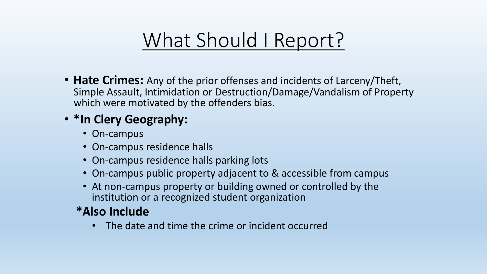## What Should I Report?

• **Hate Crimes:** Any of the prior offenses and incidents of Larceny/Theft, Simple Assault, Intimidation or Destruction/Damage/Vandalism of Property which were motivated by the offenders bias.

#### • **\*In Clery Geography:**

- On-campus
- On-campus residence halls
- On-campus residence halls parking lots
- On-campus public property adjacent to & accessible from campus
- At non-campus property or building owned or controlled by the institution or a recognized student organization

#### **\*Also Include**

• The date and time the crime or incident occurred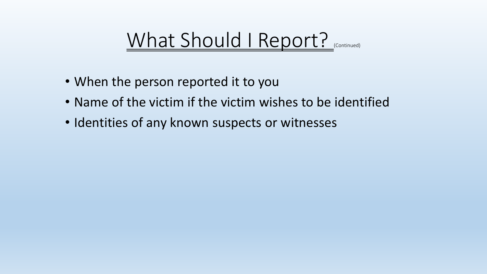#### What Should I Report?

- When the person reported it to you
- Name of the victim if the victim wishes to be identified
- Identities of any known suspects or witnesses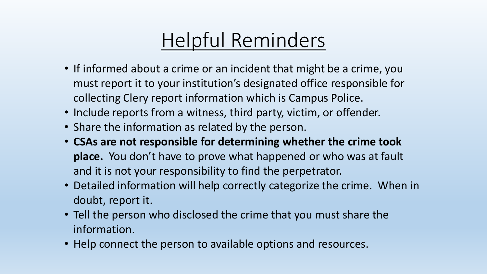## Helpful Reminders

- If informed about a crime or an incident that might be a crime, you must report it to your institution's designated office responsible for collecting Clery report information which is Campus Police.
- Include reports from a witness, third party, victim, or offender.
- Share the information as related by the person.
- **CSAs are not responsible for determining whether the crime took place.** You don't have to prove what happened or who was at fault and it is not your responsibility to find the perpetrator.
- Detailed information will help correctly categorize the crime. When in doubt, report it.
- Tell the person who disclosed the crime that you must share the information.
- Help connect the person to available options and resources.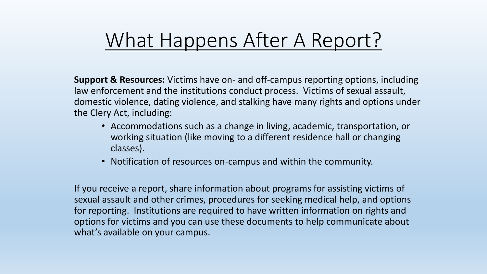#### What Happens After A Report?

**Support & Resources:** Victims have on- and off-campus reporting options, including law enforcement and the institutions conduct process. Victims of sexual assault, domestic violence, dating violence, and stalking have many rights and options under the Clery Act, including:

- Accommodations such as a change in living, academic, transportation, or working situation (like moving to a different residence hall or changing classes).
- Notification of resources on-campus and within the community.

If you receive a report, share information about programs for assisting victims of sexual assault and other crimes, procedures for seeking medical help, and options for reporting. Institutions are required to have written information on rights and options for victims and you can use these documents to help communicate about what's available on your campus.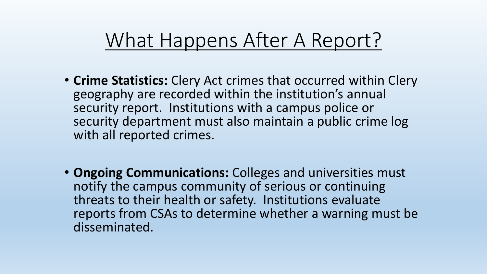#### What Happens After A Report?

- **Crime Statistics:** Clery Act crimes that occurred within Clery geography are recorded within the institution's annual security report. Institutions with a campus police or security department must also maintain a public crime log with all reported crimes.
- **Ongoing Communications:** Colleges and universities must notify the campus community of serious or continuing threats to their health or safety. Institutions evaluate reports from CSAs to determine whether a warning must be disseminated.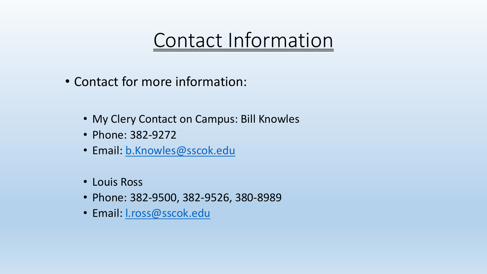#### Contact Information

- Contact for more information:
	- My Clery Contact on Campus: Bill Knowles
	- Phone: 382-9272
	- Email: [b.Knowles@sscok.edu](mailto:b.Knowles@sscok.edu)
	- Louis Ross
	- Phone: 382-9500, 382-9526, 380-8989
	- Email: [l.ross@sscok.edu](mailto:b.Knowles@sscok.edu)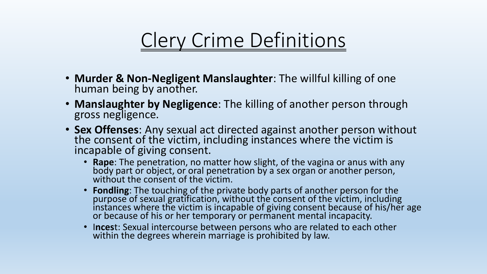## Clery Crime Definitions

- **Murder & Non-Negligent Manslaughter**: The willful killing of one human being by another.
- **Manslaughter by Negligence**: The killing of another person through gross negligence.
- **Sex Offenses**: Any sexual act directed against another person without the consent of the victim, including instances where the victim is incapable of giving consent.
	- **Rape**: The penetration, no matter how slight, of the vagina or anus with any body part or object, or oral penetration by a sex organ or another person, without the consent of the victim.
	- **Fondling**: The touching of the private body parts of another person for the purpose of sexual gratification, without the consent of the victim, including instances where the victim is incapable of giving consent because of his/her age or because of his or her temporary or permanent mental incapacity.
	- I**nces**t: Sexual intercourse between persons who are related to each other within the degrees wherein marriage is prohibited by law.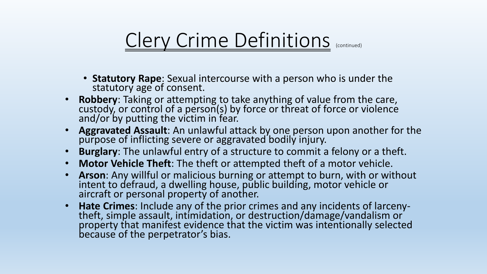- **Statutory Rape**: Sexual intercourse with a person who is under the statutory age of consent.
- **Robbery**: Taking or attempting to take anything of value from the care, custody, or control of a person(s) by force or threat of force or violence and/or by putting the victim in fear.
- **Aggravated Assault**: An unlawful attack by one person upon another for the purpose of inflicting severe or aggravated bodily injury.
- **Burglary**: The unlawful entry of a structure to commit a felony or a theft.
- **Motor Vehicle Theft**: The theft or attempted theft of a motor vehicle.
- **Arson**: Any willful or malicious burning or attempt to burn, with or without intent to defraud, a dwelling house, public building, motor vehicle or aircraft or personal property of another.
- **Hate Crimes**: Include any of the prior crimes and any incidents of larcenytheft, simple assault, intimidation, or destruction/damage/vandalism or property that manifest evidence that the victim was intentionally selected because of the perpetrator's bias.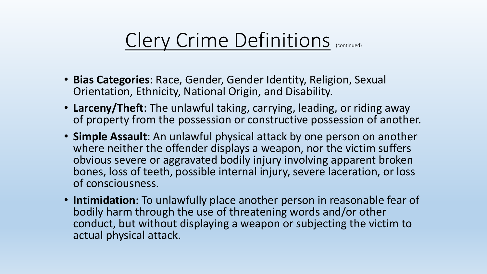- **Bias Categories**: Race, Gender, Gender Identity, Religion, Sexual Orientation, Ethnicity, National Origin, and Disability.
- **Larceny/Theft**: The unlawful taking, carrying, leading, or riding away of property from the possession or constructive possession of another.
- **Simple Assault**: An unlawful physical attack by one person on another where neither the offender displays a weapon, nor the victim suffers obvious severe or aggravated bodily injury involving apparent broken bones, loss of teeth, possible internal injury, severe laceration, or loss of consciousness.
- **Intimidation**: To unlawfully place another person in reasonable fear of bodily harm through the use of threatening words and/or other conduct, but without displaying a weapon or subjecting the victim to actual physical attack.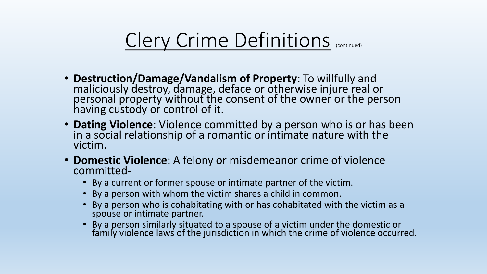- **Destruction/Damage/Vandalism of Property**: To willfully and maliciously destroy, damage, deface or otherwise injure real or personal property without the consent of the owner or the person having custody or control of it.
- **Dating Violence**: Violence committed by a person who is or has been in a social relationship of a romantic or intimate nature with the victim.
- **Domestic Violence**: A felony or misdemeanor crime of violence committed-
	- By a current or former spouse or intimate partner of the victim.
	- By a person with whom the victim shares a child in common.
	- By a person who is cohabitating with or has cohabitated with the victim as a spouse or intimate partner.
	- By a person similarly situated to a spouse of a victim under the domestic or family violence laws of the jurisdiction in which the crime of violence occurred.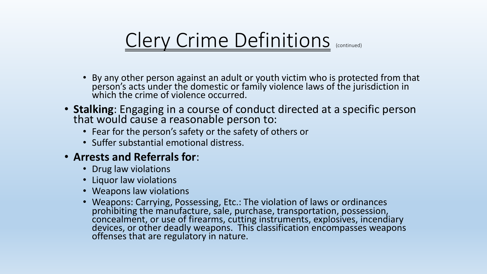- By any other person against an adult or youth victim who is protected from that person's acts under the domestic or family violence laws of the jurisdiction in which the crime of violence occurred.
- **Stalking**: Engaging in a course of conduct directed at a specific person that would cause a reasonable person to:
	- Fear for the person's safety or the safety of others or
	- Suffer substantial emotional distress.
- **Arrests and Referrals for**:
	- Drug law violations
	- Liquor law violations
	- Weapons law violations
	- Weapons: Carrying, Possessing, Etc.: The violation of laws or ordinances prohibiting the manufacture, sale, purchase, transportation, possession, concealment, or use of firearms, cutting instruments, explosives, incendiary devices, or other deadly weapons. This classification encompasses weapons offenses that are regulatory in nature.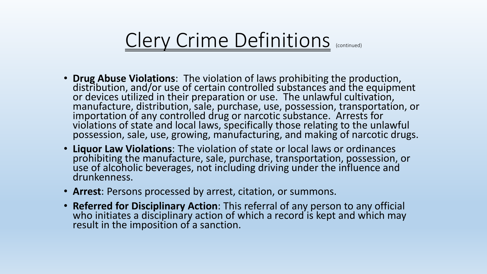- **Drug Abuse Violations**: The violation of laws prohibiting the production, distribution, and/or use of certain controlled substances and the equipment or devices utilized in their preparation or use. The unlawful cultivation, manufacture, distribution, sale, purchase, use, possession, transportation, or importation of any controlled drug or narcotic substance. Arrests for violations of state and local laws, specifically those relating to the unlawful possession, sale, use, growing, manufacturing, and making of narcotic drugs.
- **Liquor Law Violations**: The violation of state or local laws or ordinances prohibiting the manufacture, sale, purchase, transportation, possession, or use of alcoholic beverages, not including driving under the influence and drunkenness.
- **Arrest**: Persons processed by arrest, citation, or summons.
- **Referred for Disciplinary Action**: This referral of any person to any official who initiates a disciplinary action of which a record is kept and which may result in the imposition of a sanction.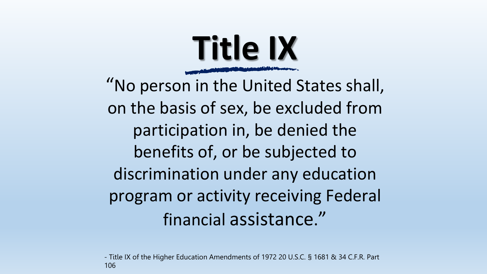

"No person in the United States shall, on the basis of sex, be excluded from participation in, be denied the benefits of, or be subjected to discrimination under any education program or activity receiving Federal financial assistance."

- Title IX of the Higher Education Amendments of 1972 20 U.S.C. § 1681 & 34 C.F.R. Part 106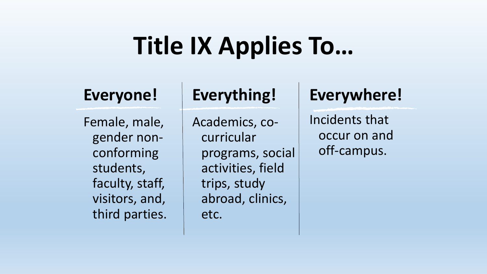# **Title IX Applies To…**

#### **Everyone!**

Female, male, gender nonconforming students, faculty, staff, visitors, and, third parties.

#### **Everything!**

Academics, cocurricular programs, social activities, field trips, study abroad, clinics, etc.

#### **Everywhere!**

Incidents that occur on and off-campus.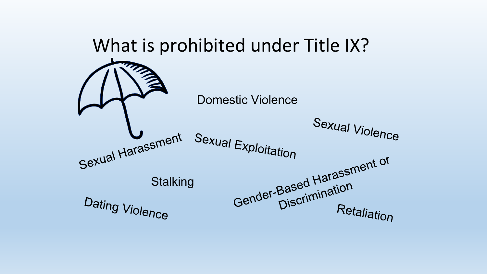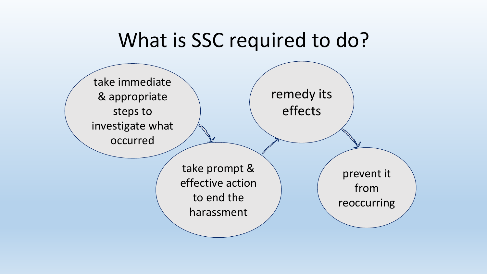#### What is SSC required to do?

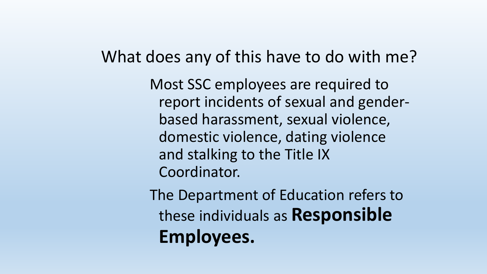#### What does any of this have to do with me?

Most SSC employees are required to report incidents of sexual and genderbased harassment, sexual violence, domestic violence, dating violence and stalking to the Title IX Coordinator.

The Department of Education refers to these individuals as **Responsible Employees.**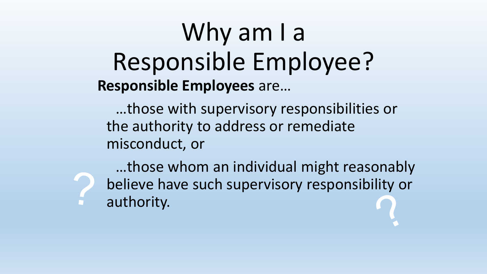## Why am I a Responsible Employee? **Responsible Employees** are…

…those with supervisory responsibilities or the authority to address or remediate misconduct, or

…those whom an individual might reasonably believe have such supervisory responsibility or authority.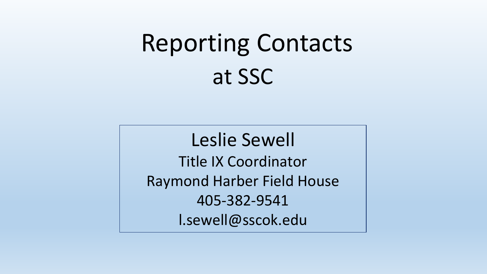# Reporting Contacts at SSC

Leslie Sewell Title IX Coordinator Raymond Harber Field House 405-382-9541 l.sewell@sscok.edu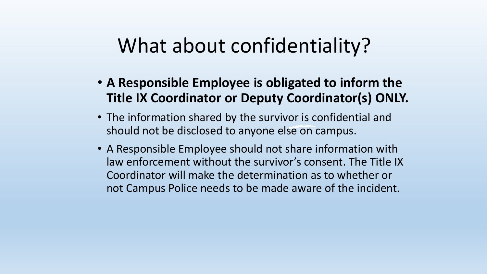#### What about confidentiality?

- **A Responsible Employee is obligated to inform the Title IX Coordinator or Deputy Coordinator(s) ONLY.**
- The information shared by the survivor is confidential and should not be disclosed to anyone else on campus.
- A Responsible Employee should not share information with law enforcement without the survivor's consent. The Title IX Coordinator will make the determination as to whether or not Campus Police needs to be made aware of the incident.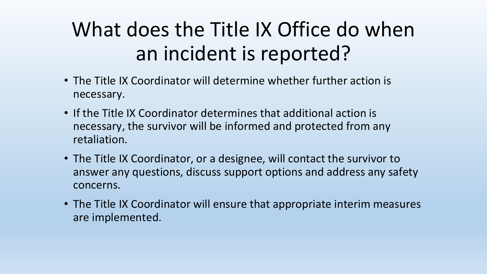## What does the Title IX Office do when an incident is reported?

- The Title IX Coordinator will determine whether further action is necessary.
- If the Title IX Coordinator determines that additional action is necessary, the survivor will be informed and protected from any retaliation.
- The Title IX Coordinator, or a designee, will contact the survivor to answer any questions, discuss support options and address any safety concerns.
- The Title IX Coordinator will ensure that appropriate interim measures are implemented.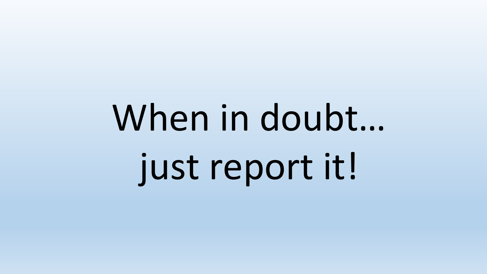# When in doubt… just report it!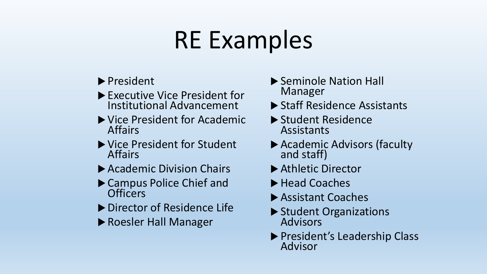# RE Examples

- ▶ President
- ▶ Executive Vice President for Institutional Advancement
- ▶ Vice President for Academic Affairs
- ▶ Vice President for Student Affairs
- ▶ Academic Division Chairs
- ▶ Campus Police Chief and **Officers**
- ▶ Director of Residence Life
- ▶ Roesler Hall Manager
- ▶ Seminole Nation Hall Manager
- ▶ Staff Residence Assistants
- ▶ Student Residence Assistants
- ▶ Academic Advisors (faculty and staff)
- ▶ Athletic Director
- ▶ Head Coaches
- ▶ Assistant Coaches
- ▶ Student Organizations Advisors
- ▶ President's Leadership Class Advisor